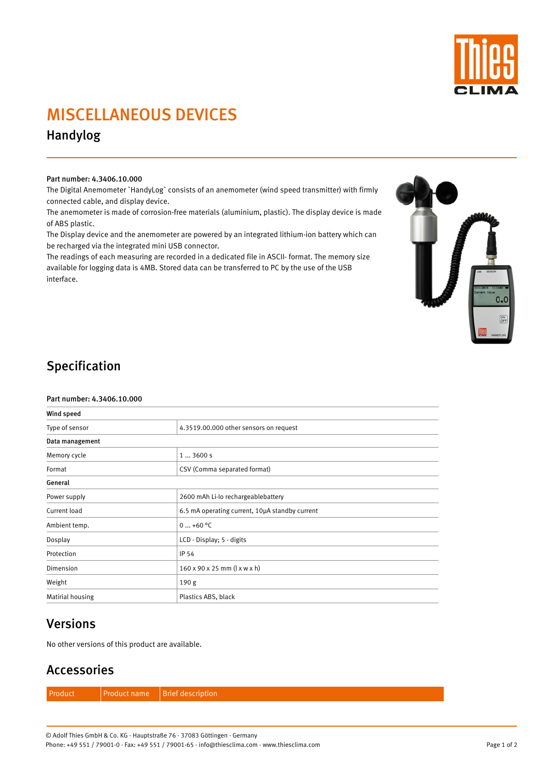

# MISCELLANEOUS DEVICES

Handylog

#### Part number: 4.3406.10.000

The Digital Anemometer `HandyLog` consists of an anemometer (wind speed transmitter) with firmly connected cable, and display device.

The anemometer is made of corrosion-free materials (aluminium, plastic). The display device is made of ABS plastic.

The Display device and the anemometer are powered by an integrated lithium-ion battery which can be recharged via the integrated mini USB connector.

The readings of each measuring are recorded in a dedicated file in ASCII- format. The memory size available for logging data is 4MB. Stored data can be transferred to PC by the use of the USB interface.



## Specification

#### Part number: 4.3406.10.000

| Wind speed      |                                                        |  |  |
|-----------------|--------------------------------------------------------|--|--|
| Type of sensor  | 4.3519.00.000 other sensors on request                 |  |  |
| Data management |                                                        |  |  |
| Memory cycle    | 13600s                                                 |  |  |
| Format          | CSV (Comma separated format)                           |  |  |
| General         |                                                        |  |  |
| Power supply    | 2600 mAh Li-Io rechargeablebattery                     |  |  |
| Current load    | 6.5 mA operating current, 10µA standby current         |  |  |
| Ambient temp.   | $0+60$ °C                                              |  |  |
| Dosplay         | LCD - Display; 5 - digits                              |  |  |
| Protection      | IP 54                                                  |  |  |
| Dimension       | $160 \times 90 \times 25$ mm ( $l \times w \times h$ ) |  |  |
| Weight          | 190 <sub>g</sub>                                       |  |  |

### Versions

No other versions of this product are available.

### Accessories

Product **Product name** Brief description

Page 1 of 2

© Adolf Thies GmbH & Co. KG · Hauptstraße 76 · 37083 Göttingen · Germany Phone: +49 551 / 79001-0 · Fax: +49 551 / 79001-65 · info@thiesclima.com · www.thiesclima.com